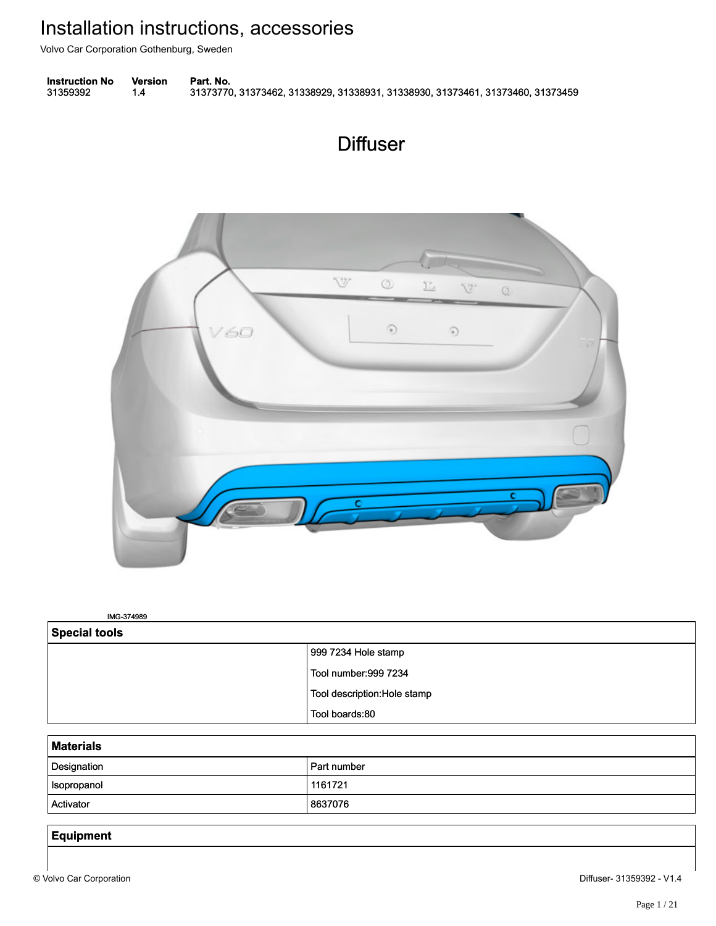Volvo Car Corporation Gothenburg, Sweden







IMG-374989 IMG-374989

| Special tools |                             |
|---------------|-----------------------------|
|               | 999 7234 Hole stamp         |
|               | Tool number: 999 7234       |
|               | Tool description:Hole stamp |
|               | Tool boards:80              |

| - - -<br>___ |             |  |
|--------------|-------------|--|
| Designation  | Part number |  |
| Isopropanol  | 1161721     |  |
| Activator    | 8637076     |  |

# **Equipment**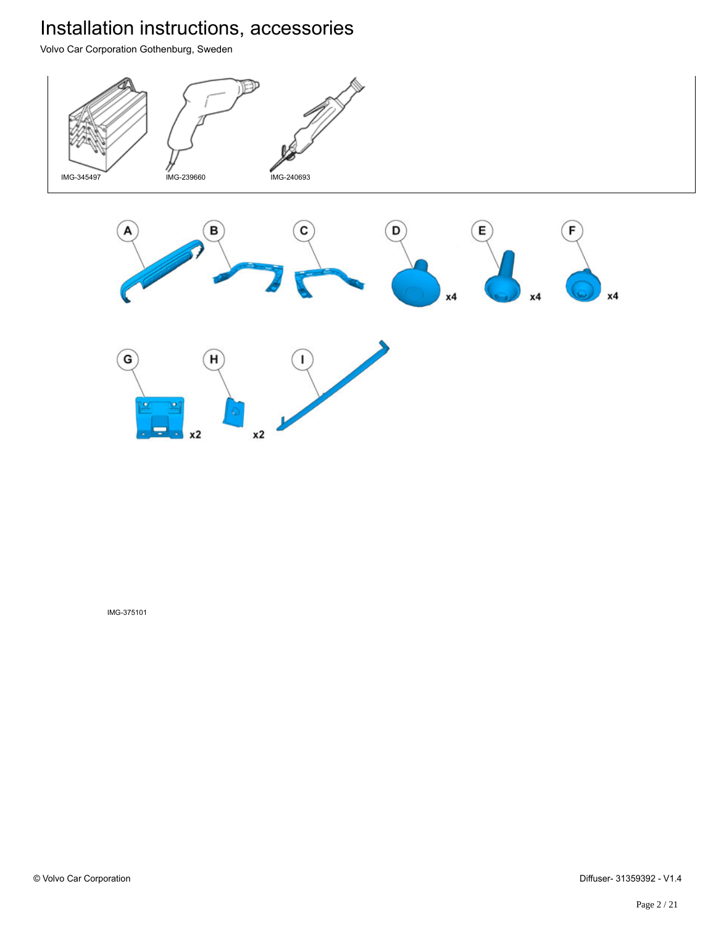Volvo Car Corporation Gothenburg, Sweden



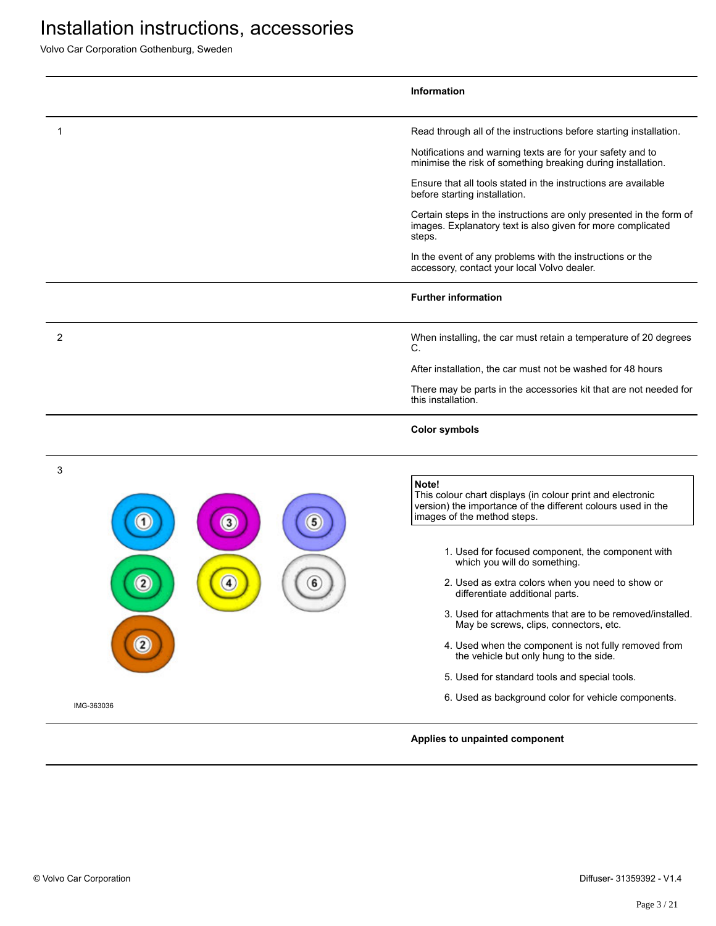|                        | <b>Information</b>                                                                                                                                                 |
|------------------------|--------------------------------------------------------------------------------------------------------------------------------------------------------------------|
| 1                      | Read through all of the instructions before starting installation.                                                                                                 |
|                        | Notifications and warning texts are for your safety and to<br>minimise the risk of something breaking during installation.                                         |
|                        | Ensure that all tools stated in the instructions are available<br>before starting installation.                                                                    |
|                        | Certain steps in the instructions are only presented in the form of<br>images. Explanatory text is also given for more complicated<br>steps.                       |
|                        | In the event of any problems with the instructions or the<br>accessory, contact your local Volvo dealer.                                                           |
|                        | <b>Further information</b>                                                                                                                                         |
| 2                      | When installing, the car must retain a temperature of 20 degrees<br>C.                                                                                             |
|                        | After installation, the car must not be washed for 48 hours                                                                                                        |
|                        | There may be parts in the accessories kit that are not needed for<br>this installation.                                                                            |
|                        | <b>Color symbols</b>                                                                                                                                               |
| 3<br>5<br>$\mathbf{3}$ | Note!<br>This colour chart displays (in colour print and electronic<br>version) the importance of the different colours used in the<br>images of the method steps. |
|                        | 1. Used for focused component, the component with<br>which you will do something.                                                                                  |
| 2                      | 2. Used as extra colors when you need to show or<br>differentiate additional parts.                                                                                |
|                        | 3. Used for attachments that are to be removed/installed.<br>May be screws, clips, connectors, etc.                                                                |
|                        | 4. Used when the component is not fully removed from<br>the vehicle but only hung to the side.                                                                     |
|                        | 5. Used for standard tools and special tools.                                                                                                                      |
| IMG-363036             | 6. Used as background color for vehicle components.                                                                                                                |
|                        | Applies to unpainted component                                                                                                                                     |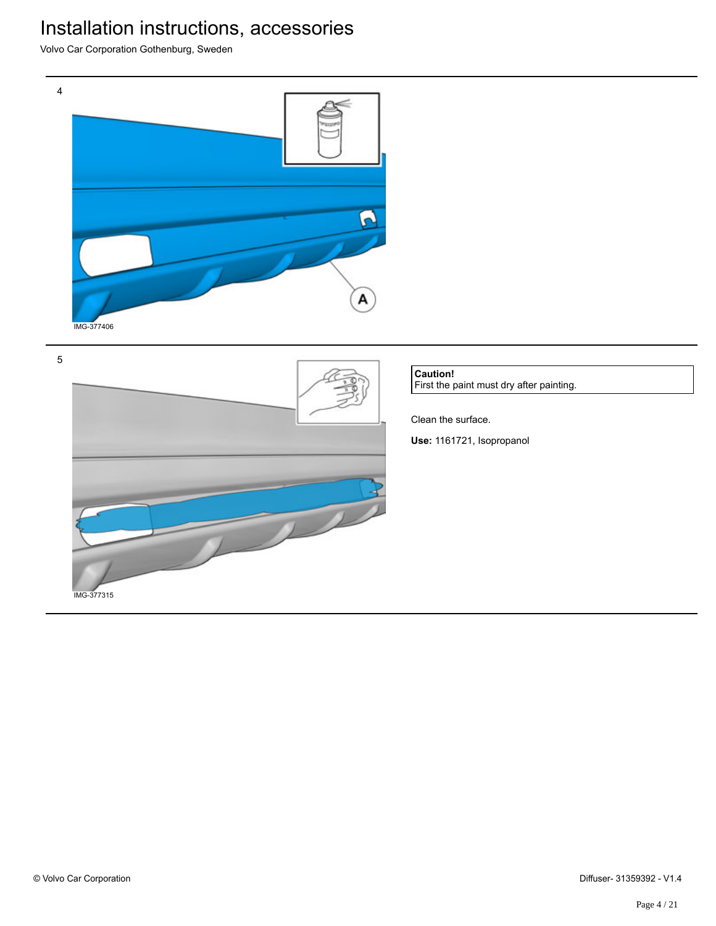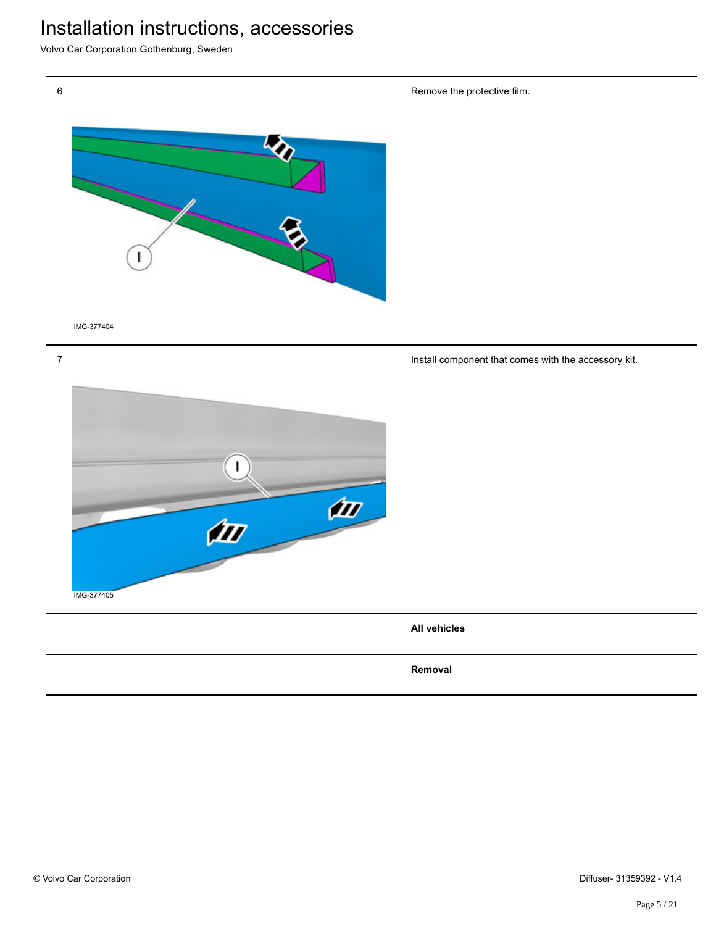Volvo Car Corporation Gothenburg, Sweden



IMG-377404

7

1  $\frac{d}{dt}$ **III** IMG-377405

**All vehicles**

**Removal**

Remove the protective film.

Install component that comes with the accessory kit.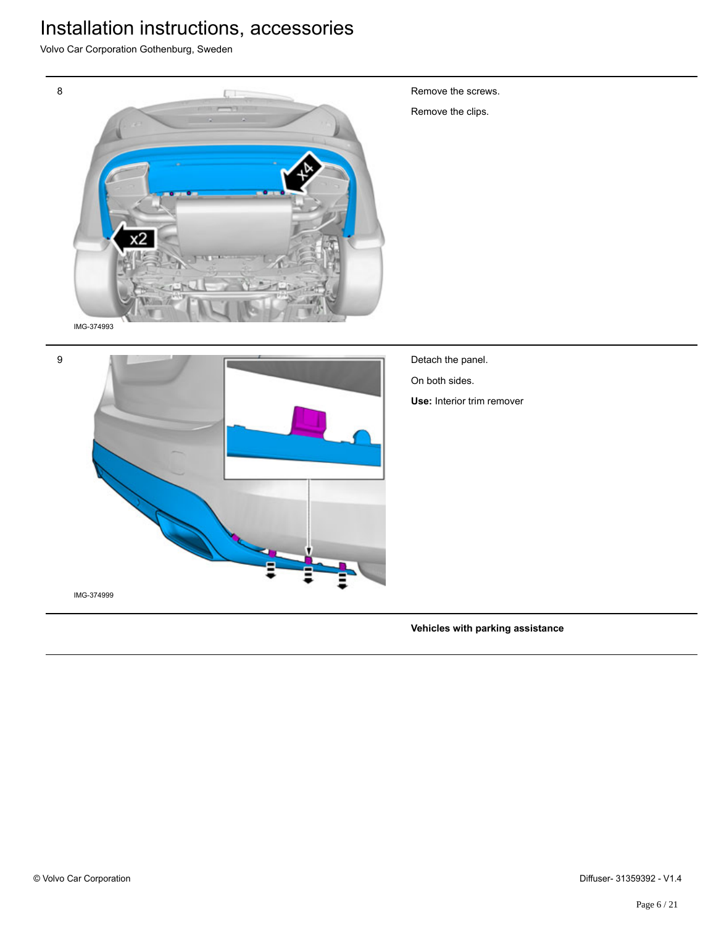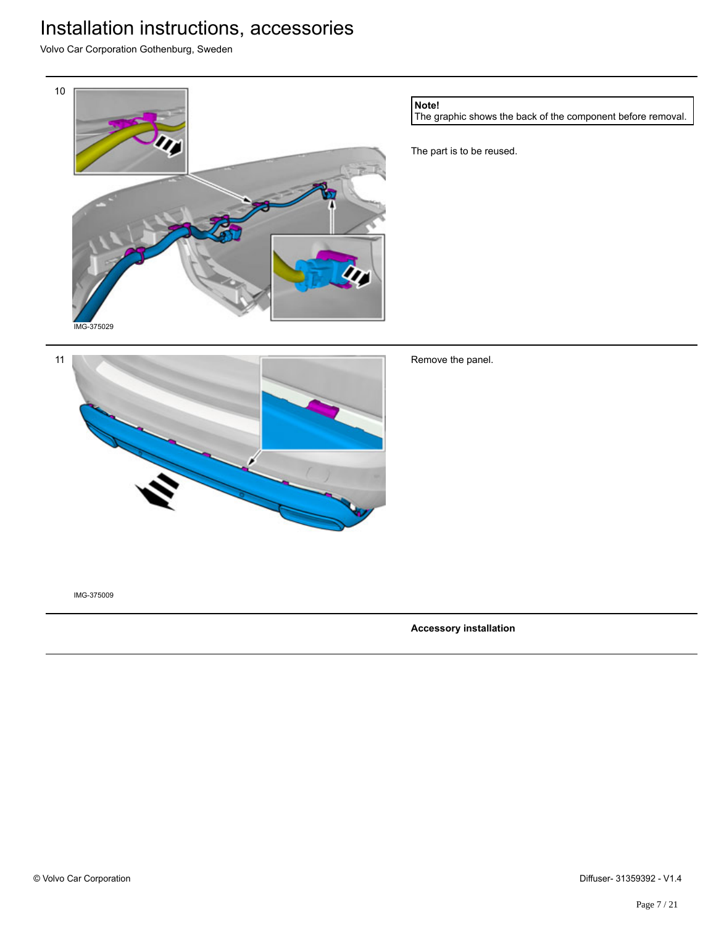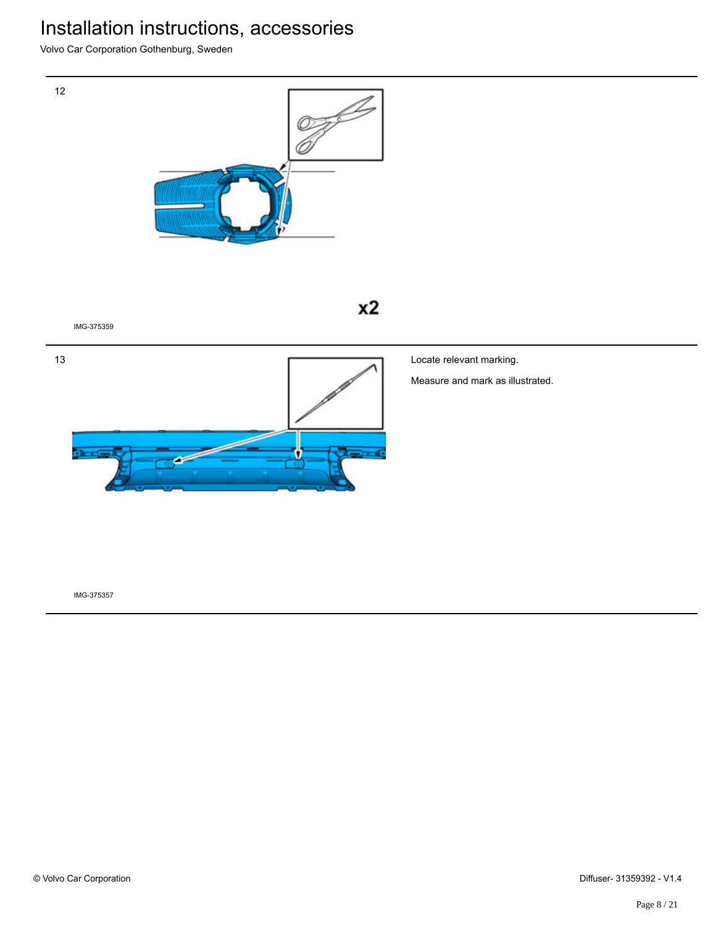Volvo Car Corporation Gothenburg, Sweden

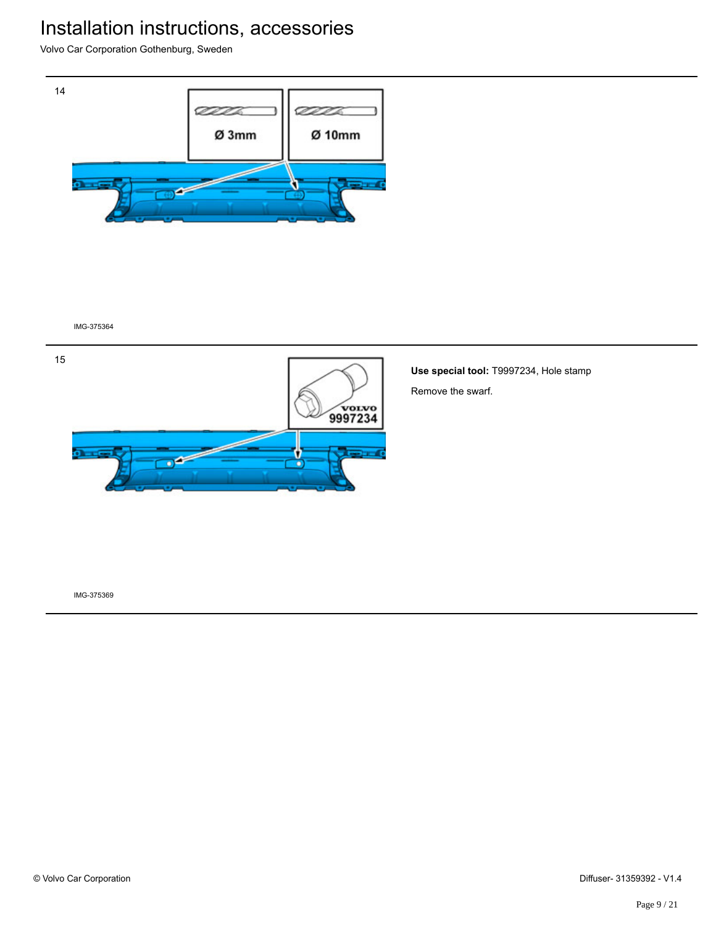Volvo Car Corporation Gothenburg, Sweden



IMG-375364



**Use special tool:** T9997234, Hole stamp Remove the swarf.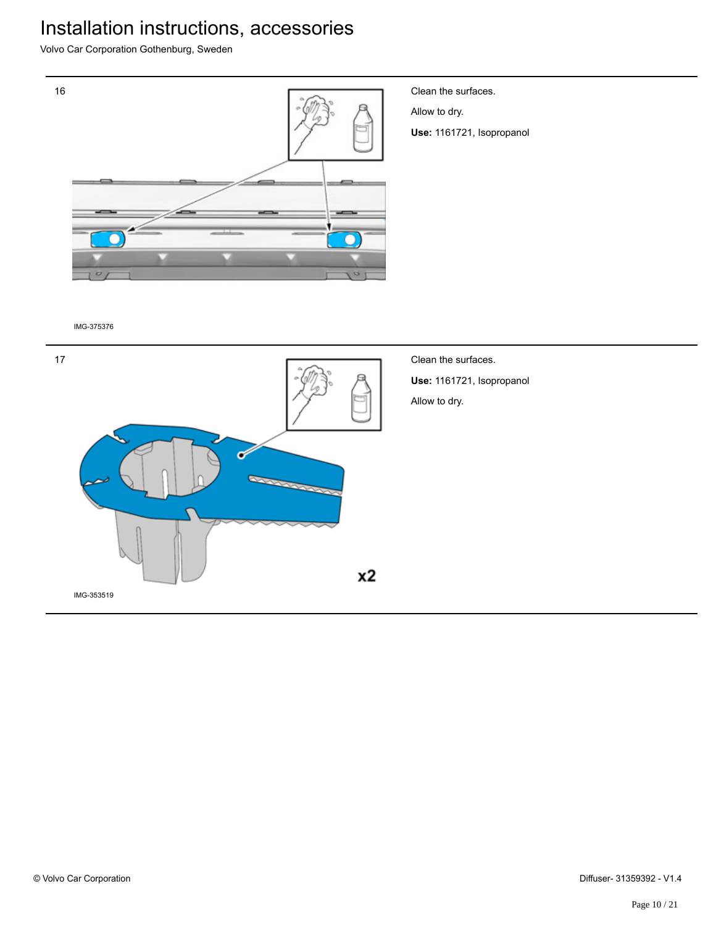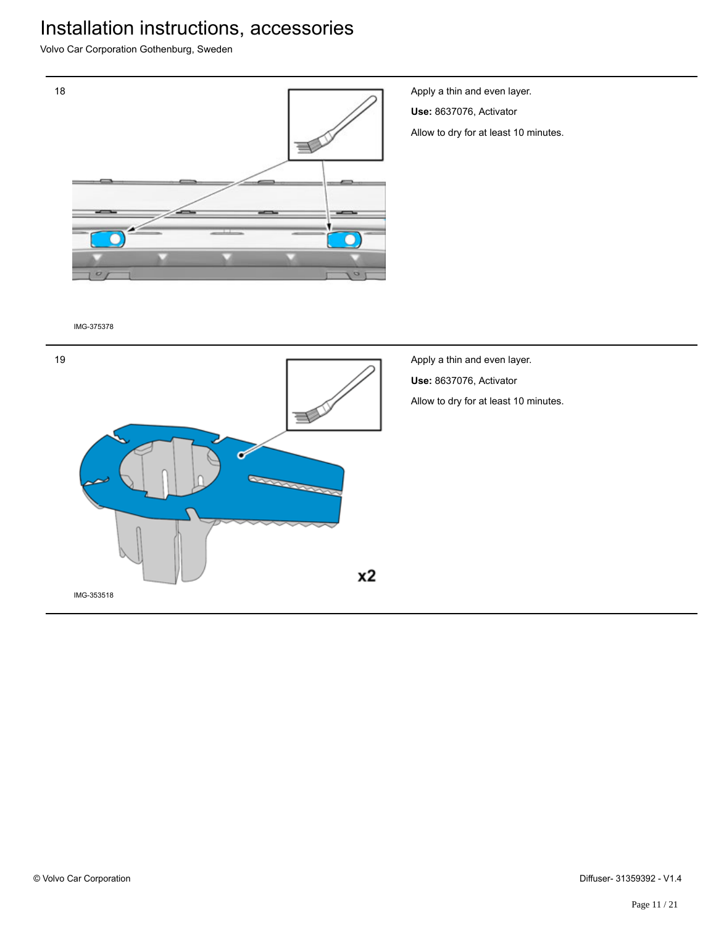Volvo Car Corporation Gothenburg, Sweden



Apply a thin and even layer. **Use:** 8637076, Activator Allow to dry for at least 10 minutes.

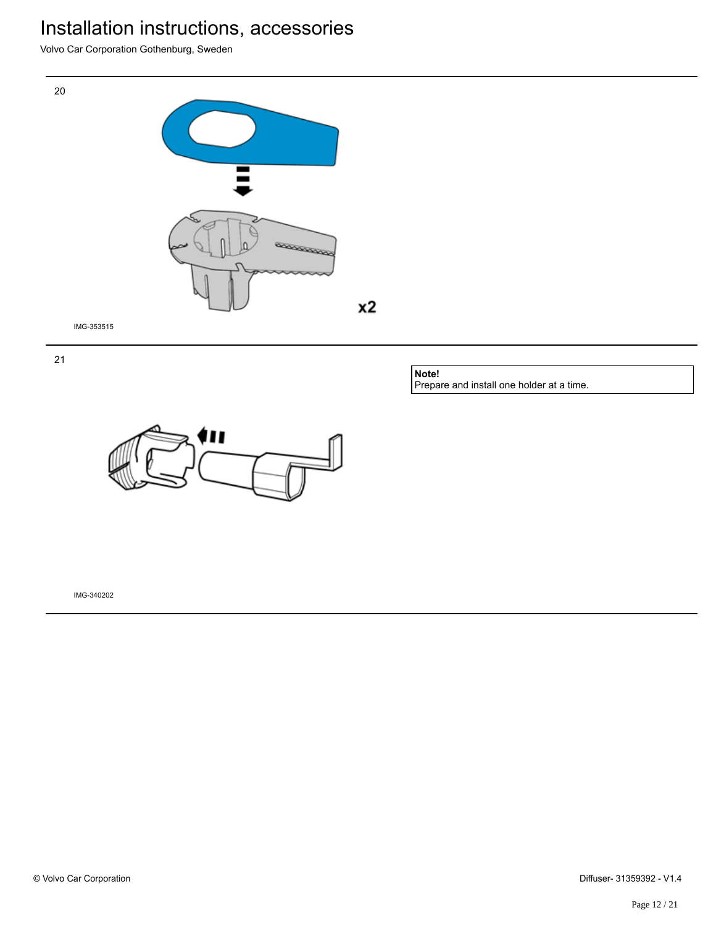Volvo Car Corporation Gothenburg, Sweden







IMG-353515

21

**Note!** Prepare and install one holder at a time.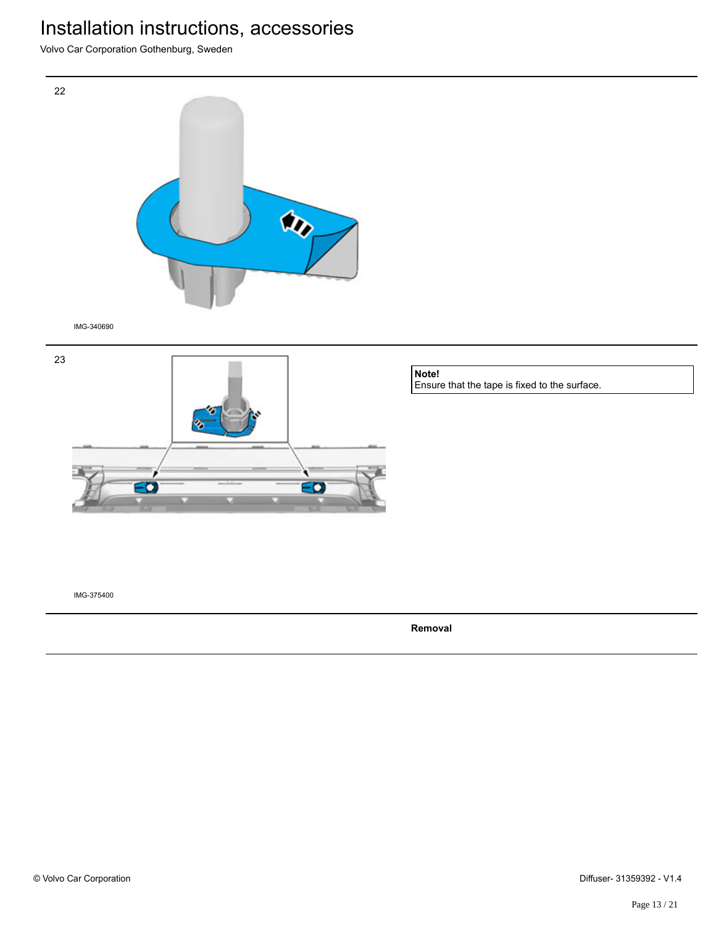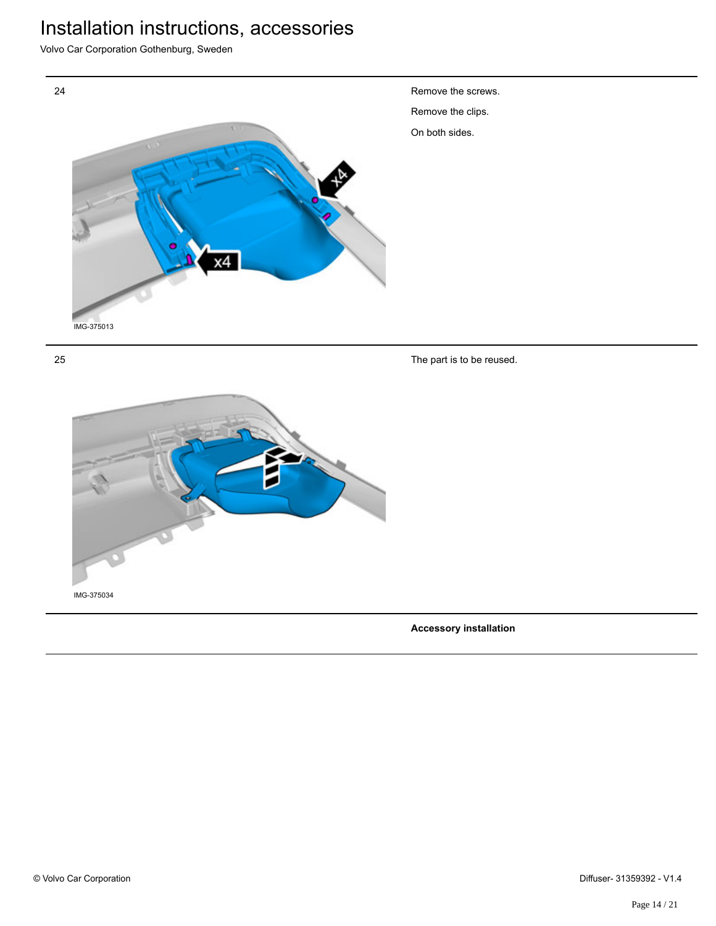Volvo Car Corporation Gothenburg, Sweden





**Accessory installation**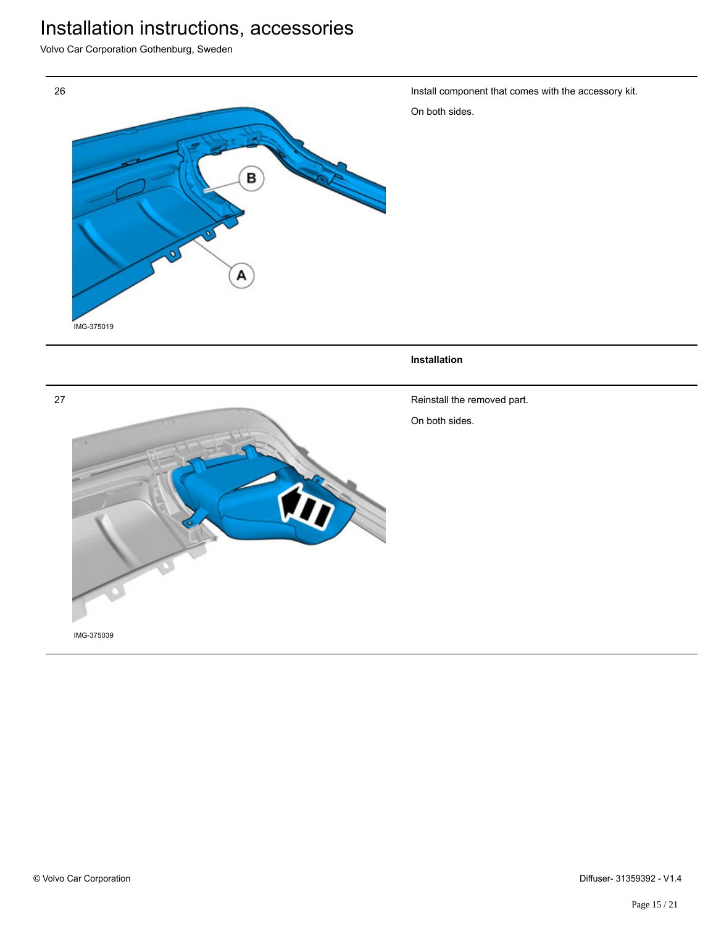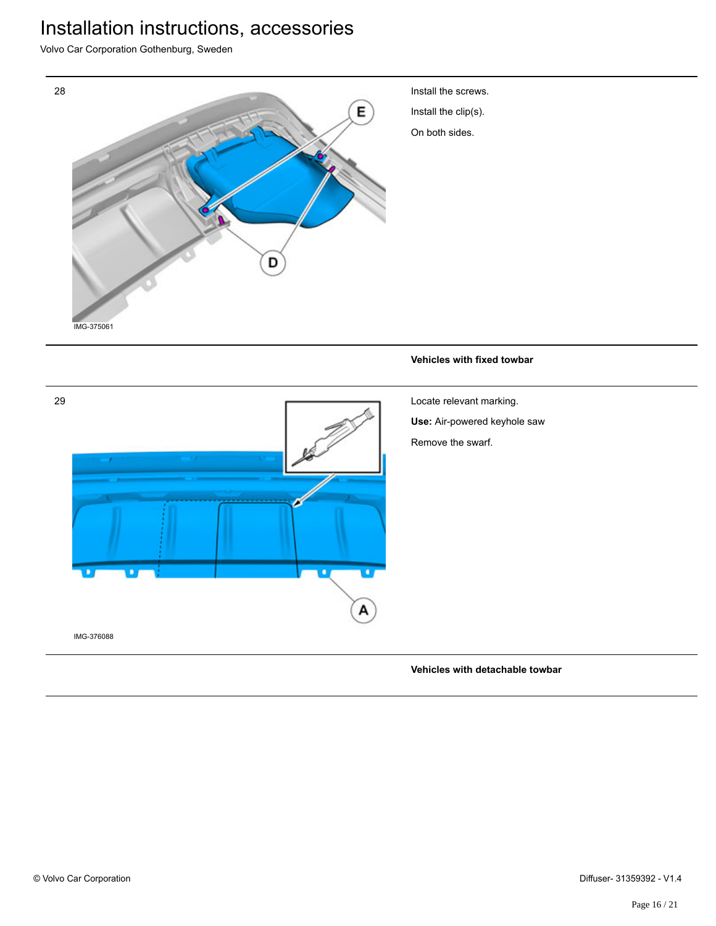Volvo Car Corporation Gothenburg, Sweden



#### **Vehicles with detachable towbar**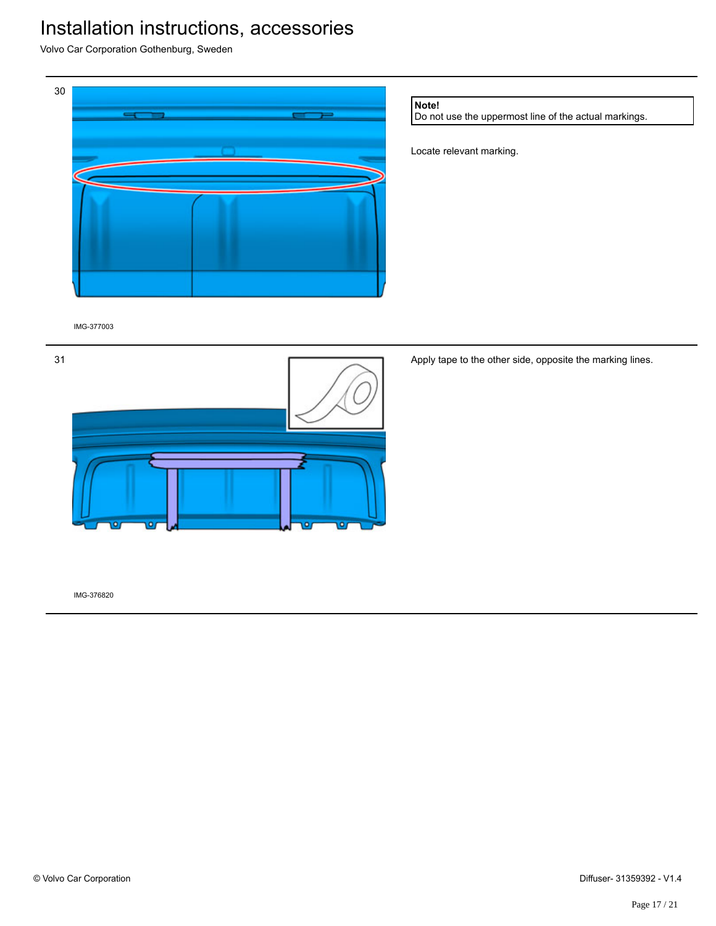Volvo Car Corporation Gothenburg, Sweden



**Note!**

Do not use the uppermost line of the actual markings.

Locate relevant marking.

IMG-377003



Apply tape to the other side, opposite the marking lines.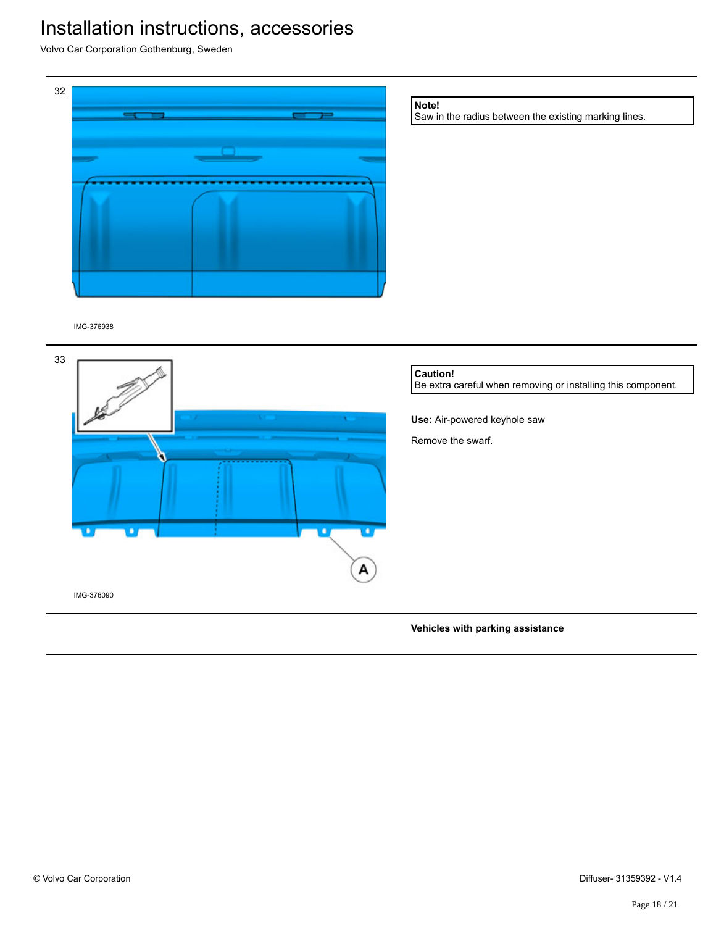Volvo Car Corporation Gothenburg, Sweden



**Vehicles with parking assistance**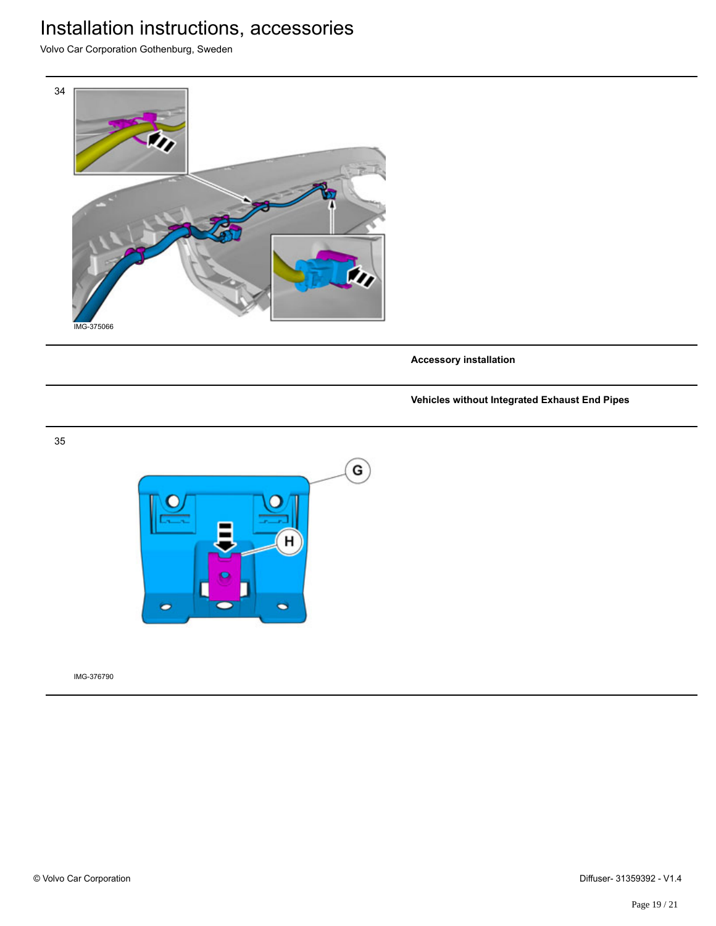Volvo Car Corporation Gothenburg, Sweden



**Accessory installation**

#### **Vehicles without Integrated Exhaust End Pipes**



IMG-376790

35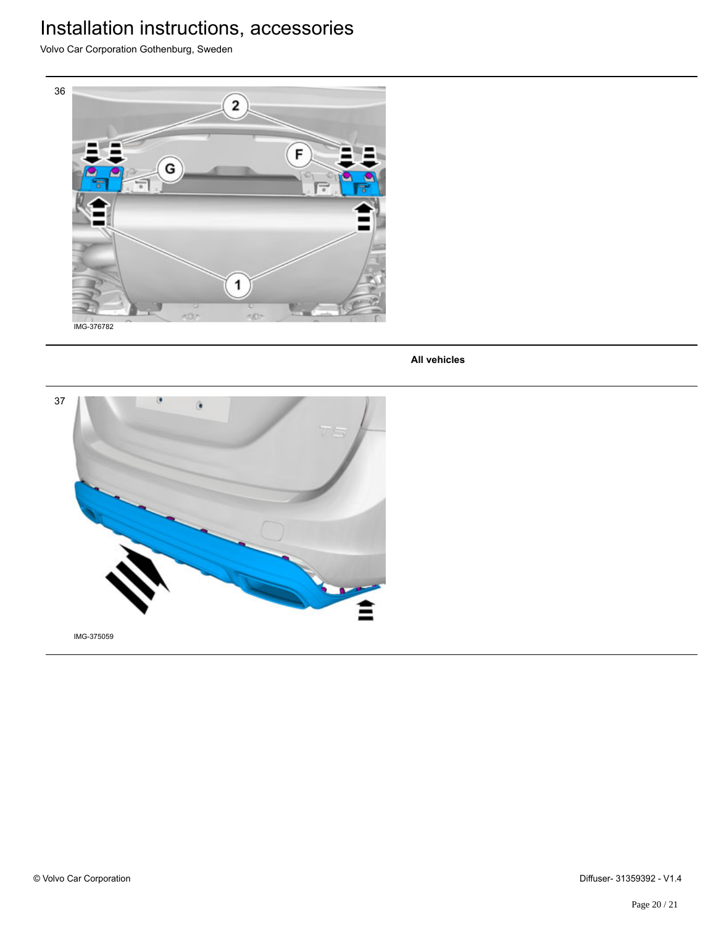Volvo Car Corporation Gothenburg, Sweden



**All vehicles**